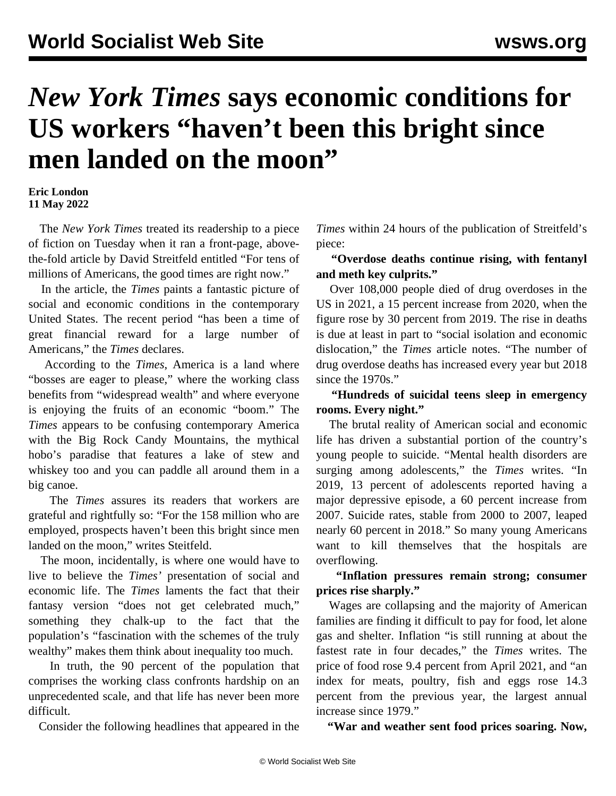# *New York Times* **says economic conditions for US workers "haven't been this bright since men landed on the moon"**

#### **Eric London 11 May 2022**

 The *New York Times* treated its readership to a piece of fiction on Tuesday when it ran a front-page, abovethe-fold article by David Streitfeld entitled "For tens of millions of Americans, the good times are right now."

 In the article, the *Times* paints a fantastic picture of social and economic conditions in the contemporary United States. The recent period "has been a time of great financial reward for a large number of Americans," the *Times* declares.

 According to the *Times*, America is a land where "bosses are eager to please," where the working class benefits from "widespread wealth" and where everyone is enjoying the fruits of an economic "boom." The *Times* appears to be confusing contemporary America with the Big Rock Candy Mountains, the mythical hobo's paradise that features a lake of stew and whiskey too and you can paddle all around them in a big canoe.

 The *Times* assures its readers that workers are grateful and rightfully so: "For the 158 million who are employed, prospects haven't been this bright since men landed on the moon," writes Steitfeld.

 The moon, incidentally, is where one would have to live to believe the *Times'* presentation of social and economic life. The *Times* laments the fact that their fantasy version "does not get celebrated much," something they chalk-up to the fact that the population's "fascination with the schemes of the truly wealthy" makes them think about inequality too much.

 In truth, the 90 percent of the population that comprises the working class confronts hardship on an unprecedented scale, and that life has never been more difficult.

Consider the following headlines that appeared in the

*Times* within 24 hours of the publication of Streitfeld's piece:

### **"Overdose deaths continue rising, with fentanyl and meth key culprits."**

 Over 108,000 people died of drug overdoses in the US in 2021, a 15 percent increase from 2020, when the figure rose by 30 percent from 2019. The rise in deaths is due at least in part to "social isolation and economic dislocation," the *Times* article notes. "The number of drug overdose deaths has increased every year but 2018 since the 1970s."

 **"Hundreds of suicidal teens sleep in emergency rooms. Every night."** 

 The brutal reality of American social and economic life has driven a substantial portion of the country's young people to suicide. "Mental health disorders are surging among adolescents," the *Times* writes. "In 2019, 13 percent of adolescents reported having a major depressive episode, a 60 percent increase from 2007. Suicide rates, stable from 2000 to 2007, leaped nearly 60 percent in 2018." So many young Americans want to kill themselves that the hospitals are overflowing.

 **"Inflation pressures remain strong; consumer prices rise sharply."**

 Wages are collapsing and the majority of American families are finding it difficult to pay for food, let alone gas and shelter. Inflation "is still running at about the fastest rate in four decades," the *Times* writes. The price of food rose 9.4 percent from April 2021, and "an index for meats, poultry, fish and eggs rose 14.3 percent from the previous year, the largest annual increase since 1979."

**"War and weather sent food prices soaring. Now,**